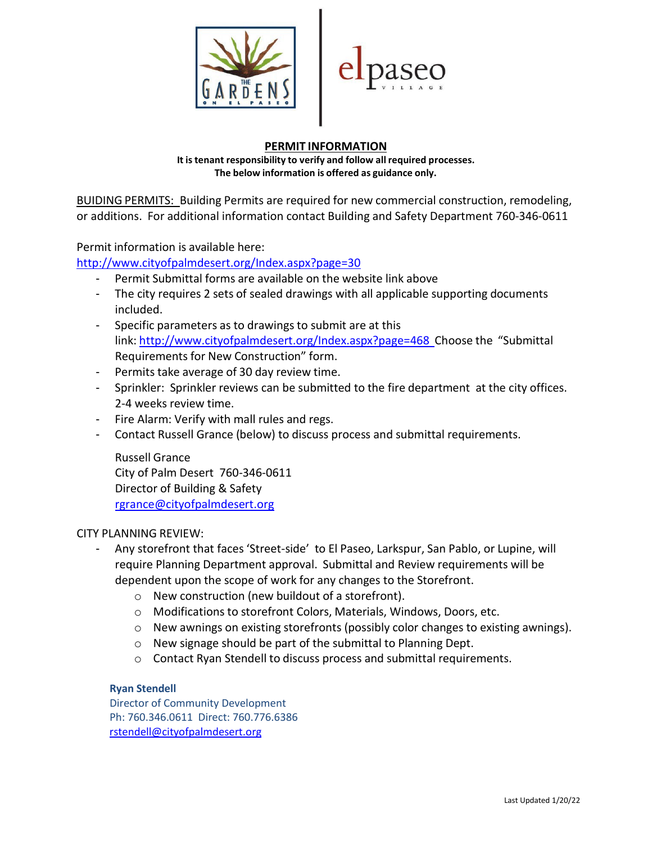



## **PERMIT INFORMATION**

**It is tenant responsibility to verify and follow all required processes. The below information is offered as guidance only.**

BUIDING PERMITS: Building Permits are required for new commercial construction, remodeling, or additions. For additional information contact Building and Safety Department 760-346-0611

Permit information is available here:

<http://www.cityofpalmdesert.org/Index.aspx?page=30>

- Permit Submittal forms are available on the website link above
- The city requires 2 sets of sealed drawings with all applicable supporting documents included.
- Specific parameters as to drawings to submit are at this link: <http://www.cityofpalmdesert.org/Index.aspx?page=468> Choose the "Submittal Requirements for New Construction" form.
- Permits take average of 30 day review time.
- Sprinkler: Sprinkler reviews can be submitted to the fire department at the city offices. 2-4 weeks review time.
- Fire Alarm: Verify with mall rules and regs.
- Contact Russell Grance (below) to discuss process and submittal requirements.

Russell Grance City of Palm Desert 760-346-0611 Director of Building & Safety [rgrance@cityofpalmdesert.org](mailto:rgrance@cityofpalmdesert.org)

#### CITY PLANNING REVIEW:

- Any storefront that faces 'Street-side' to El Paseo, Larkspur, San Pablo, or Lupine, will require Planning Department approval. Submittal and Review requirements will be dependent upon the scope of work for any changes to the Storefront.
	- o New construction (new buildout of a storefront).
	- o Modifications to storefront Colors, Materials, Windows, Doors, etc.
	- o New awnings on existing storefronts (possibly color changes to existing awnings).
	- o New signage should be part of the submittal to Planning Dept.
	- o Contact Ryan Stendell to discuss process and submittal requirements.

#### **Ryan Stendell**

Director of Community Development Ph: 760.346.0611 Direct: 760.776.6386 [rstendell@cityofpalmdesert.org](mailto:%20rstendell@cityofpalmdesert.org)